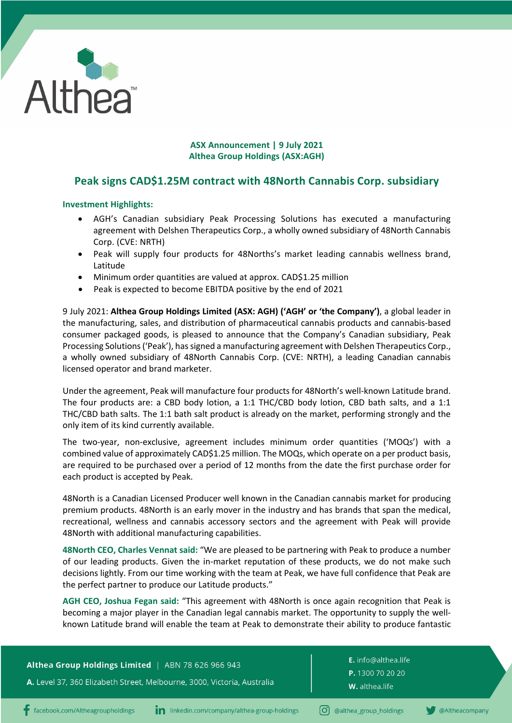

# **ASX Announcement | 9 July 2021 Althea Group Holdings (ASX:AGH)**

# **Peak signs CAD\$1.25M contract with 48North Cannabis Corp. subsidiary**

# **Investment Highlights:**

- AGH's Canadian subsidiary Peak Processing Solutions has executed a manufacturing agreement with Delshen Therapeutics Corp., a wholly owned subsidiary of 48North Cannabis Corp. (CVE: NRTH)
- Peak will supply four products for 48Norths's market leading cannabis wellness brand, Latitude
- Minimum order quantities are valued at approx. CAD\$1.25 million
- Peak is expected to become EBITDA positive by the end of 2021

9 July 2021: **Althea Group Holdings Limited (ASX: AGH) ('AGH' or 'the Company')**, a global leader in the manufacturing, sales, and distribution of pharmaceutical cannabis products and cannabis-based consumer packaged goods, is pleased to announce that the Company's Canadian subsidiary, Peak Processing Solutions ('Peak'), has signed a manufacturing agreement with Delshen Therapeutics Corp., a wholly owned subsidiary of 48North Cannabis Corp. (CVE: NRTH), a leading Canadian cannabis licensed operator and brand marketer.

Under the agreement, Peak will manufacture four products for 48North's well-known Latitude brand. The four products are: a CBD body lotion, a 1:1 THC/CBD body lotion, CBD bath salts, and a 1:1 THC/CBD bath salts. The 1:1 bath salt product is already on the market, performing strongly and the only item of its kind currently available.

The two-year, non-exclusive, agreement includes minimum order quantities ('MOQs') with a combined value of approximately CAD\$1.25 million. The MOQs, which operate on a per product basis, are required to be purchased over a period of 12 months from the date the first purchase order for each product is accepted by Peak.

48North is a Canadian Licensed Producer well known in the Canadian cannabis market for producing premium products. 48North is an early mover in the industry and has brands that span the medical, recreational, wellness and cannabis accessory sectors and the agreement with Peak will provide 48North with additional manufacturing capabilities.

**48North CEO, Charles Vennat said:** "We are pleased to be partnering with Peak to produce a number of our leading products. Given the in-market reputation of these products, we do not make such decisions lightly. From our time working with the team at Peak, we have full confidence that Peak are the perfect partner to produce our Latitude products."

**AGH CEO, Joshua Fegan said:** "This agreement with 48North is once again recognition that Peak is becoming a major player in the Canadian legal cannabis market. The opportunity to supply the wellknown Latitude brand will enable the team at Peak to demonstrate their ability to produce fantastic

Althea Group Holdings Limited | ABN 78 626 966 943

A. Level 37, 360 Elizabeth Street, Melbourne, 3000, Victoria, Australia

E. info@althea.life P. 1300 70 20 20 W. althea.life